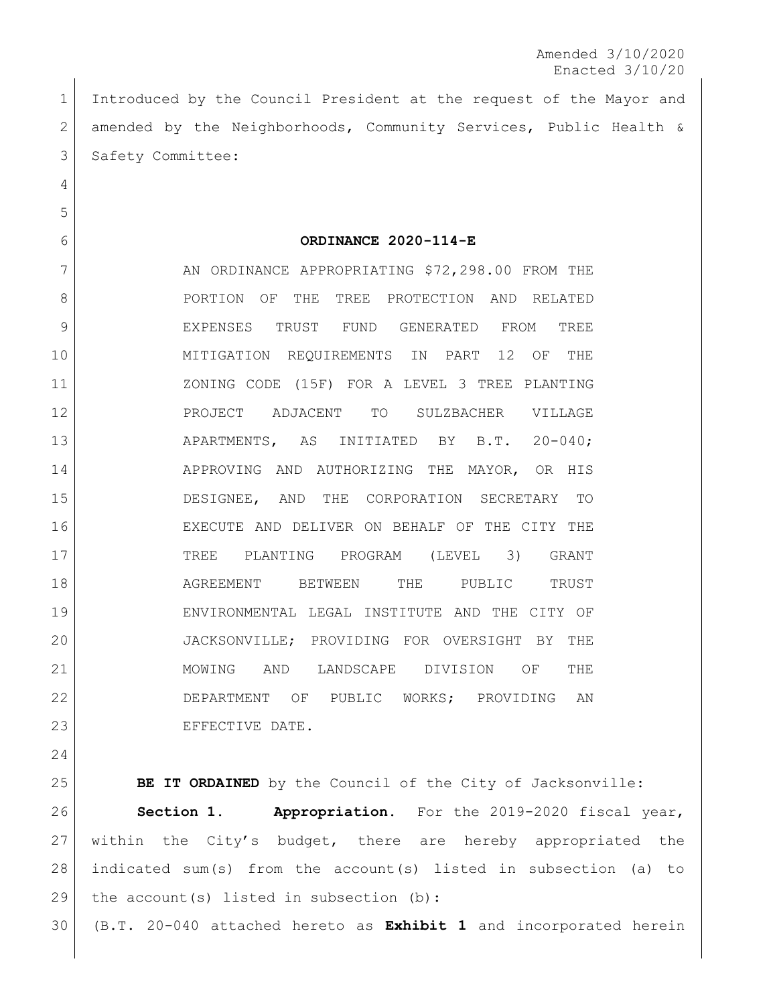Amended 3/10/2020 Enacted 3/10/20

 Introduced by the Council President at the request of the Mayor and amended by the Neighborhoods, Community Services, Public Health & 3 Safety Committee:

**ORDINANCE 2020-114-E**

7 AN ORDINANCE APPROPRIATING \$72,298.00 FROM THE 8 | PORTION OF THE TREE PROTECTION AND RELATED EXPENSES TRUST FUND GENERATED FROM TREE MITIGATION REQUIREMENTS IN PART 12 OF THE ZONING CODE (15F) FOR A LEVEL 3 TREE PLANTING PROJECT ADJACENT TO SULZBACHER VILLAGE 13 APARTMENTS, AS INITIATED BY B.T. 20-040; 14 APPROVING AND AUTHORIZING THE MAYOR, OR HIS DESIGNEE, AND THE CORPORATION SECRETARY TO EXECUTE AND DELIVER ON BEHALF OF THE CITY THE TREE PLANTING PROGRAM (LEVEL 3) GRANT **AGREEMENT** BETWEEN THE PUBLIC TRUST ENVIRONMENTAL LEGAL INSTITUTE AND THE CITY OF JACKSONVILLE; PROVIDING FOR OVERSIGHT BY THE MOWING AND LANDSCAPE DIVISION OF THE DEPARTMENT OF PUBLIC WORKS; PROVIDING AN 23 EFFECTIVE DATE.

**BE IT ORDAINED** by the Council of the City of Jacksonville: **Section 1. Appropriation.** For the 2019-2020 fiscal year, within the City's budget, there are hereby appropriated the indicated sum(s) from the account(s) listed in subsection (a) to 29 | the account (s) listed in subsection (b):

(B.T. 20-040 attached hereto as **Exhibit 1** and incorporated herein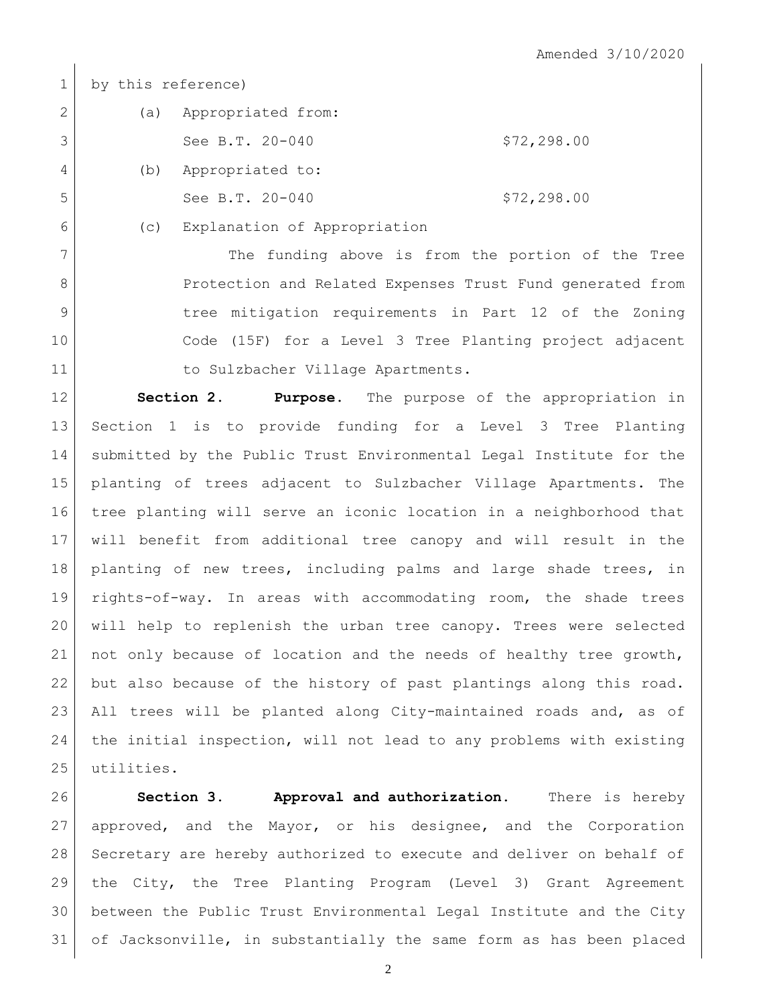by this reference)

| 2 | (a) | Appropriated from: |              |
|---|-----|--------------------|--------------|
|   |     | See B.T. 20-040    | \$72, 298.00 |
| 4 | (b) | Appropriated to:   |              |
| 5 |     | See B.T. 20-040    | \$72, 298.00 |

(c) Explanation of Appropriation

7 The funding above is from the portion of the Tree 8 Protection and Related Expenses Trust Fund generated from tree mitigation requirements in Part 12 of the Zoning Code (15F) for a Level 3 Tree Planting project adjacent 11 to Sulzbacher Village Apartments.

 **Section 2. Purpose.** The purpose of the appropriation in Section 1 is to provide funding for a Level 3 Tree Planting submitted by the Public Trust Environmental Legal Institute for the planting of trees adjacent to Sulzbacher Village Apartments. The tree planting will serve an iconic location in a neighborhood that will benefit from additional tree canopy and will result in the planting of new trees, including palms and large shade trees, in rights-of-way. In areas with accommodating room, the shade trees will help to replenish the urban tree canopy. Trees were selected not only because of location and the needs of healthy tree growth, 22 but also because of the history of past plantings along this road. All trees will be planted along City-maintained roads and, as of the initial inspection, will not lead to any problems with existing 25 utilities.

 **Section 3. Approval and authorization.** There is hereby approved, and the Mayor, or his designee, and the Corporation Secretary are hereby authorized to execute and deliver on behalf of the City, the Tree Planting Program (Level 3) Grant Agreement between the Public Trust Environmental Legal Institute and the City of Jacksonville, in substantially the same form as has been placed